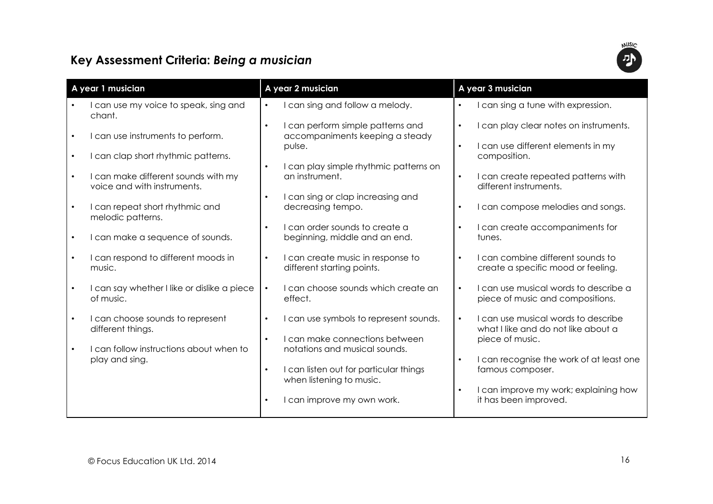## Key Assessment Criteria: Being a musician



| A year 1 musician |                                                                    | A year 2 musician |                                                                      | A year 3 musician |                                                                            |
|-------------------|--------------------------------------------------------------------|-------------------|----------------------------------------------------------------------|-------------------|----------------------------------------------------------------------------|
|                   | I can use my voice to speak, sing and<br>chant.                    |                   | can sing and follow a melody.                                        |                   | I can sing a tune with expression.                                         |
|                   | I can use instruments to perform.                                  | $\bullet$         | I can perform simple patterns and<br>accompaniments keeping a steady | $\bullet$         | I can play clear notes on instruments.                                     |
|                   | I can clap short rhythmic patterns.                                | $\bullet$         | pulse.                                                               |                   | I can use different elements in my<br>composition.                         |
|                   | I can make different sounds with my<br>voice and with instruments. |                   | I can play simple rhythmic patterns on<br>an instrument.             |                   | I can create repeated patterns with<br>different instruments.              |
|                   | I can repeat short rhythmic and<br>melodic patterns.               | $\bullet$         | I can sing or clap increasing and<br>decreasing tempo.               |                   | I can compose melodies and songs.                                          |
|                   | I can make a sequence of sounds.                                   | $\bullet$         | I can order sounds to create a<br>beginning, middle and an end.      |                   | I can create accompaniments for<br>tunes.                                  |
|                   | I can respond to different moods in<br>music.                      | $\bullet$         | I can create music in response to<br>different starting points.      |                   | I can combine different sounds to<br>create a specific mood or feeling.    |
|                   | I can say whether I like or dislike a piece<br>of music.           | $\bullet$         | I can choose sounds which create an<br>effect.                       | $\bullet$         | I can use musical words to describe a<br>piece of music and compositions.  |
|                   | I can choose sounds to represent<br>different things.              | $\bullet$         | I can use symbols to represent sounds.                               |                   | I can use musical words to describe<br>what I like and do not like about a |
|                   | I can follow instructions about when to                            | $\bullet$         | I can make connections between<br>notations and musical sounds.      |                   | piece of music.                                                            |
|                   | play and sing.                                                     |                   | I can listen out for particular things<br>when listening to music.   |                   | I can recognise the work of at least one<br>famous composer.               |
|                   |                                                                    |                   | can improve my own work.                                             |                   | I can improve my work; explaining how<br>it has been improved.             |